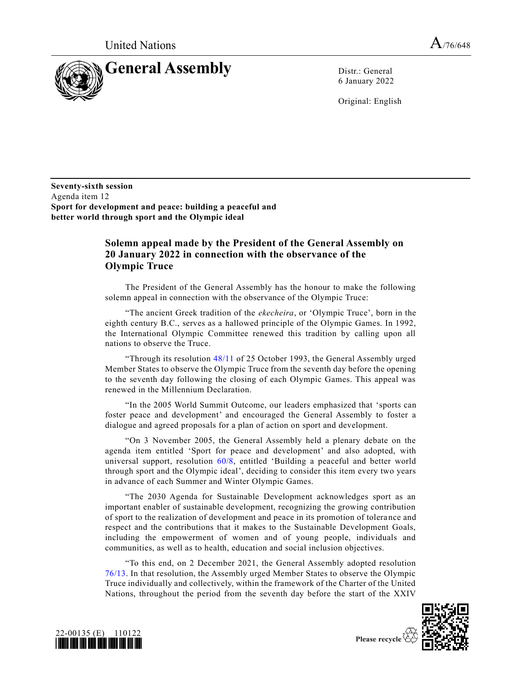

6 January 2022

Original: English

**Seventy-sixth session** Agenda item 12 **Sport for development and peace: building a peaceful and better world through sport and the Olympic ideal**

## **Solemn appeal made by the President of the General Assembly on 20 January 2022 in connection with the observance of the Olympic Truce**

The President of the General Assembly has the honour to make the following solemn appeal in connection with the observance of the Olympic Truce:

"The ancient Greek tradition of the *ekecheira*, or 'Olympic Truce', born in the eighth century B.C., serves as a hallowed principle of the Olympic Games. In 1992, the International Olympic Committee renewed this tradition by calling upon all nations to observe the Truce.

"Through its resolution [48/11](https://undocs.org/en/A/RES/48/11) of 25 October 1993, the General Assembly urged Member States to observe the Olympic Truce from the seventh day before the opening to the seventh day following the closing of each Olympic Games. This appeal was renewed in the Millennium Declaration.

"In the 2005 World Summit Outcome, our leaders emphasized that 'sports can foster peace and development' and encouraged the General Assembly to foster a dialogue and agreed proposals for a plan of action on sport and development.

"On 3 November 2005, the General Assembly held a plenary debate on the agenda item entitled 'Sport for peace and development' and also adopted, with universal support, resolution [60/8,](https://undocs.org/en/A/RES/60/8) entitled 'Building a peaceful and better world through sport and the Olympic ideal', deciding to consider this item every two years in advance of each Summer and Winter Olympic Games.

"The 2030 Agenda for Sustainable Development acknowledges sport as an important enabler of sustainable development, recognizing the growing contribution of sport to the realization of development and peace in its promotion of tolerance and respect and the contributions that it makes to the Sustainable Development Goals, including the empowerment of women and of young people, individuals and communities, as well as to health, education and social inclusion objectives.

"To this end, on 2 December 2021, the General Assembly adopted resolution [76/13.](https://undocs.org/en/A/RES/76/13) In that resolution, the Assembly urged Member States to observe the Olympic Truce individually and collectively, within the framework of the Charter of the United Nations, throughout the period from the seventh day before the start of the XXIV